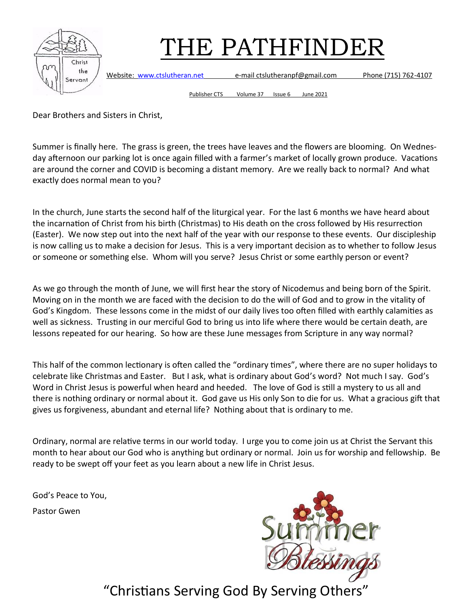

Website: [www.ctslutheran.net](http://www.ctslutheran.net/) e-mail ctslutheranpf@gmail.com Phone (715) 762-4107

Publisher CTS Volume 37 Issue 6 June 2021

Dear Brothers and Sisters in Christ,

Summer is finally here. The grass is green, the trees have leaves and the flowers are blooming. On Wednesday afternoon our parking lot is once again filled with a farmer's market of locally grown produce. Vacations are around the corner and COVID is becoming a distant memory. Are we really back to normal? And what exactly does normal mean to you?

In the church, June starts the second half of the liturgical year. For the last 6 months we have heard about the incarnation of Christ from his birth (Christmas) to His death on the cross followed by His resurrection (Easter). We now step out into the next half of the year with our response to these events. Our discipleship is now calling us to make a decision for Jesus. This is a very important decision as to whether to follow Jesus or someone or something else. Whom will you serve? Jesus Christ or some earthly person or event?

As we go through the month of June, we will first hear the story of Nicodemus and being born of the Spirit. Moving on in the month we are faced with the decision to do the will of God and to grow in the vitality of God's Kingdom. These lessons come in the midst of our daily lives too often filled with earthly calamities as well as sickness. Trusting in our merciful God to bring us into life where there would be certain death, are lessons repeated for our hearing. So how are these June messages from Scripture in any way normal?

This half of the common lectionary is often called the "ordinary times", where there are no super holidays to celebrate like Christmas and Easter. But I ask, what is ordinary about God's word? Not much I say. God's Word in Christ Jesus is powerful when heard and heeded. The love of God is still a mystery to us all and there is nothing ordinary or normal about it. God gave us His only Son to die for us. What a gracious gift that gives us forgiveness, abundant and eternal life? Nothing about that is ordinary to me.

Ordinary, normal are relative terms in our world today. I urge you to come join us at Christ the Servant this month to hear about our God who is anything but ordinary or normal. Join us for worship and fellowship. Be ready to be swept off your feet as you learn about a new life in Christ Jesus.

God's Peace to You,

Pastor Gwen

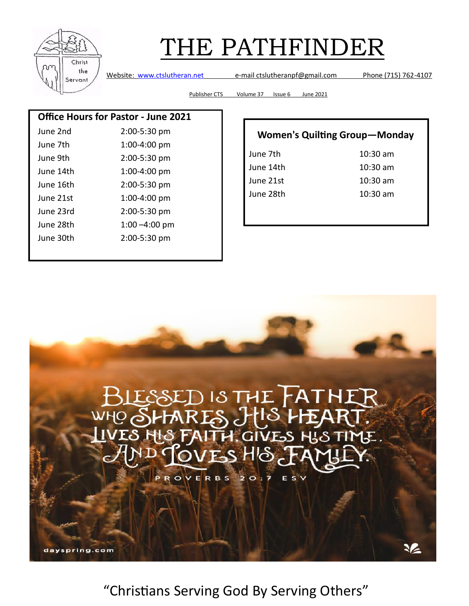

Website: [www.ctslutheran.net](http://www.ctslutheran.net/) e-mail ctslutheranpf@gmail.com Phone (715) 762-4107

Publisher CTS Volume 37 Issue 6 June 2021

#### **Office Hours for Pastor - June 2021**

| June 2nd  | 2:00-5:30 pm     |
|-----------|------------------|
| June 7th  | 1:00-4:00 pm     |
| June 9th  | 2:00-5:30 pm     |
| June 14th | 1:00-4:00 pm     |
| June 16th | 2:00-5:30 pm     |
| June 21st | 1:00-4:00 pm     |
| June 23rd | 2:00-5:30 pm     |
| June 28th | $1:00 - 4:00$ pm |
| June 30th | 2:00-5:30 pm     |
|           |                  |

| <b>Women's Quilting Group-Monday</b> |            |  |  |  |
|--------------------------------------|------------|--|--|--|
| June 7th                             | $10:30$ am |  |  |  |
| June 14th                            | $10:30$ am |  |  |  |
| June 21st                            | $10:30$ am |  |  |  |
| June 28th                            | $10:30$ am |  |  |  |
|                                      |            |  |  |  |

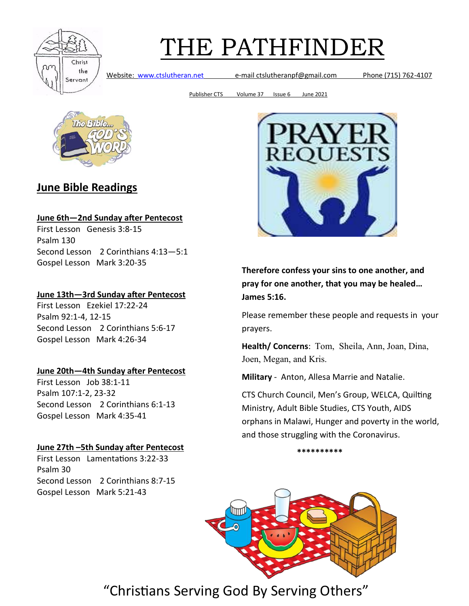

Website: [www.ctslutheran.net](http://www.ctslutheran.net/) e-mail ctslutheranpf@gmail.com Phone (715) 762-4107

Publisher CTS Volume 37 Issue 6 June 2021



#### **June Bible Readings**

#### **June 6th—2nd Sunday after Pentecost**

First Lesson Genesis 3:8-15 Psalm 130 Second Lesson 2 Corinthians 4:13—5:1 Gospel Lesson Mark 3:20-35

#### **June 13th—3rd Sunday after Pentecost**

First Lesson Ezekiel 17:22-24 Psalm 92:1-4, 12-15 Second Lesson 2 Corinthians 5:6-17 Gospel Lesson Mark 4:26-34

#### **June 20th—4th Sunday after Pentecost**

First Lesson Job 38:1-11 Psalm 107:1-2, 23-32 Second Lesson 2 Corinthians 6:1-13 Gospel Lesson Mark 4:35-41

#### **June 27th –5th Sunday after Pentecost**

First Lesson Lamentations 3:22-33 Psalm 30 Second Lesson 2 Corinthians 8:7-15 Gospel Lesson Mark 5:21-43



**Therefore confess your sins to one another, and pray for one another, that you may be healed… James 5:16.**

Please remember these people and requests in your prayers.

**Health/ Concerns**: Tom, Sheila, Ann, Joan, Dina, Joen, Megan, and Kris.

**Military** - Anton, Allesa Marrie and Natalie.

CTS Church Council, Men's Group, WELCA, Quilting Ministry, Adult Bible Studies, CTS Youth, AIDS orphans in Malawi, Hunger and poverty in the world, and those struggling with the Coronavirus.

**\*\*\*\*\*\*\*\*\*\***

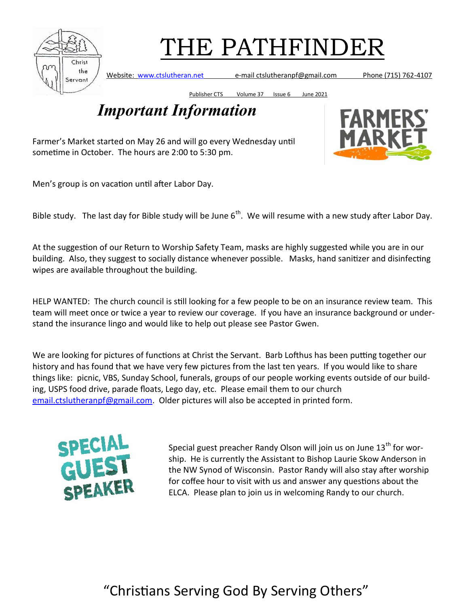

Website: [www.ctslutheran.net](http://www.ctslutheran.net/) e-mail ctslutheranpf@gmail.com Phone (715) 762-4107

Publisher CTS Volume 37 Issue 6 June 2021

### *Important Information*

Farmer's Market started on May 26 and will go every Wednesday until sometime in October. The hours are 2:00 to 5:30 pm.

Men's group is on vacation until after Labor Day.

Bible study. The last day for Bible study will be June  $6<sup>th</sup>$ . We will resume with a new study after Labor Day.

At the suggestion of our Return to Worship Safety Team, masks are highly suggested while you are in our building. Also, they suggest to socially distance whenever possible. Masks, hand sanitizer and disinfecting wipes are available throughout the building.

HELP WANTED: The church council is still looking for a few people to be on an insurance review team. This team will meet once or twice a year to review our coverage. If you have an insurance background or understand the insurance lingo and would like to help out please see Pastor Gwen.

We are looking for pictures of functions at Christ the Servant. Barb Lofthus has been putting together our history and has found that we have very few pictures from the last ten years. If you would like to share things like: picnic, VBS, Sunday School, funerals, groups of our people working events outside of our building, USPS food drive, parade floats, Lego day, etc. Please email them to our church [email.ctslutheranpf@gmail.com.](mailto:email.ctslutheranpf@gmail.com) Older pictures will also be accepted in printed form.



Special guest preacher Randy Olson will join us on June  $13<sup>th</sup>$  for worship. He is currently the Assistant to Bishop Laurie Skow Anderson in the NW Synod of Wisconsin. Pastor Randy will also stay after worship for coffee hour to visit with us and answer any questions about the ELCA. Please plan to join us in welcoming Randy to our church.

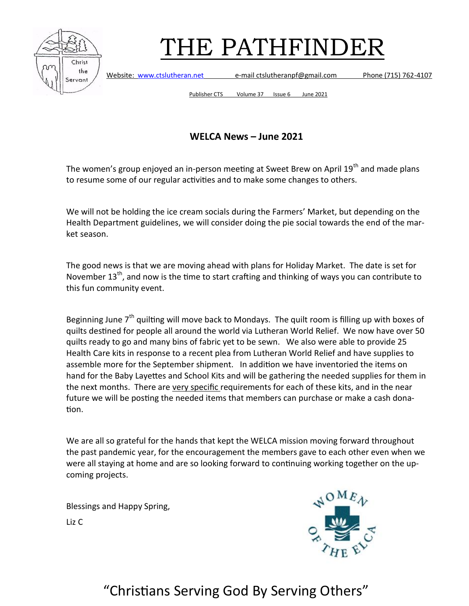

Website: [www.ctslutheran.net](http://www.ctslutheran.net/) e-mail ctslutheranpf@gmail.com Phone (715) 762-4107

Publisher CTS Volume 37 Issue 6 June 2021

#### **WELCA News – June 2021**

The women's group enjoyed an in-person meeting at Sweet Brew on April 19<sup>th</sup> and made plans to resume some of our regular activities and to make some changes to others.

We will not be holding the ice cream socials during the Farmers' Market, but depending on the Health Department guidelines, we will consider doing the pie social towards the end of the market season.

The good news is that we are moving ahead with plans for Holiday Market. The date is set for November 13<sup>th</sup>, and now is the time to start crafting and thinking of ways you can contribute to this fun community event.

Beginning June  $7<sup>th</sup>$  quilting will move back to Mondays. The quilt room is filling up with boxes of quilts destined for people all around the world via Lutheran World Relief. We now have over 50 quilts ready to go and many bins of fabric yet to be sewn. We also were able to provide 25 Health Care kits in response to a recent plea from Lutheran World Relief and have supplies to assemble more for the September shipment. In addition we have inventoried the items on hand for the Baby Layettes and School Kits and will be gathering the needed supplies for them in the next months. There are very specific requirements for each of these kits, and in the near future we will be posting the needed items that members can purchase or make a cash donation.

We are all so grateful for the hands that kept the WELCA mission moving forward throughout the past pandemic year, for the encouragement the members gave to each other even when we were all staying at home and are so looking forward to continuing working together on the upcoming projects.

Blessings and Happy Spring,

Liz C